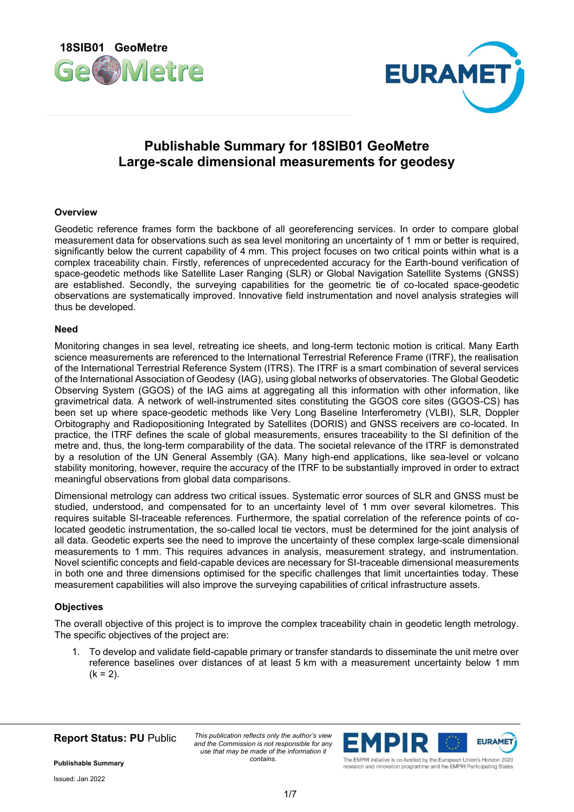



# **Publishable Summary for 18SIB01 GeoMetre Large-scale dimensional measurements for geodesy**

## **Overview**

Geodetic reference frames form the backbone of all georeferencing services. In order to compare global measurement data for observations such as sea level monitoring an uncertainty of 1 mm or better is required, significantly below the current capability of 4 mm. This project focuses on two critical points within what is a complex traceability chain. Firstly, references of unprecedented accuracy for the Earth-bound verification of space-geodetic methods like Satellite Laser Ranging (SLR) or Global Navigation Satellite Systems (GNSS) are established. Secondly, the surveying capabilities for the geometric tie of co-located space-geodetic observations are systematically improved. Innovative field instrumentation and novel analysis strategies will thus be developed.

#### **Need**

Monitoring changes in sea level, retreating ice sheets, and long-term tectonic motion is critical. Many Earth science measurements are referenced to the International Terrestrial Reference Frame (ITRF), the realisation of the International Terrestrial Reference System (ITRS). The ITRF is a smart combination of several services of the International Association of Geodesy (IAG), using global networks of observatories. The Global Geodetic Observing System (GGOS) of the IAG aims at aggregating all this information with other information, like gravimetrical data. A network of well-instrumented sites constituting the GGOS core sites (GGOS-CS) has been set up where space-geodetic methods like Very Long Baseline Interferometry (VLBI), SLR, Doppler Orbitography and Radiopositioning Integrated by Satellites (DORIS) and GNSS receivers are co-located. In practice, the ITRF defines the scale of global measurements, ensures traceability to the SI definition of the metre and, thus, the long-term comparability of the data. The societal relevance of the ITRF is demonstrated by a resolution of the UN General Assembly (GA). Many high-end applications, like sea-level or volcano stability monitoring, however, require the accuracy of the ITRF to be substantially improved in order to extract meaningful observations from global data comparisons.

Dimensional metrology can address two critical issues. Systematic error sources of SLR and GNSS must be studied, understood, and compensated for to an uncertainty level of 1 mm over several kilometres. This requires suitable SI-traceable references. Furthermore, the spatial correlation of the reference points of colocated geodetic instrumentation, the so-called local tie vectors, must be determined for the joint analysis of all data. Geodetic experts see the need to improve the uncertainty of these complex large-scale dimensional measurements to 1 mm. This requires advances in analysis, measurement strategy, and instrumentation. Novel scientific concepts and field-capable devices are necessary for SI-traceable dimensional measurements in both one and three dimensions optimised for the specific challenges that limit uncertainties today. These measurement capabilities will also improve the surveying capabilities of critical infrastructure assets.

#### **Objectives**

The overall objective of this project is to improve the complex traceability chain in geodetic length metrology. The specific objectives of the project are:

1. To develop and validate field-capable primary or transfer standards to disseminate the unit metre over reference baselines over distances of at least 5 km with a measurement uncertainty below 1 mm  $(k = 2)$ .

**Report Status: PU** Public

*This publication reflects only the author's view and the Commission is not responsible for any use that may be made of the information it contains.*



research and innovation programme and the EMPIR Participating States

**Publishable Summary**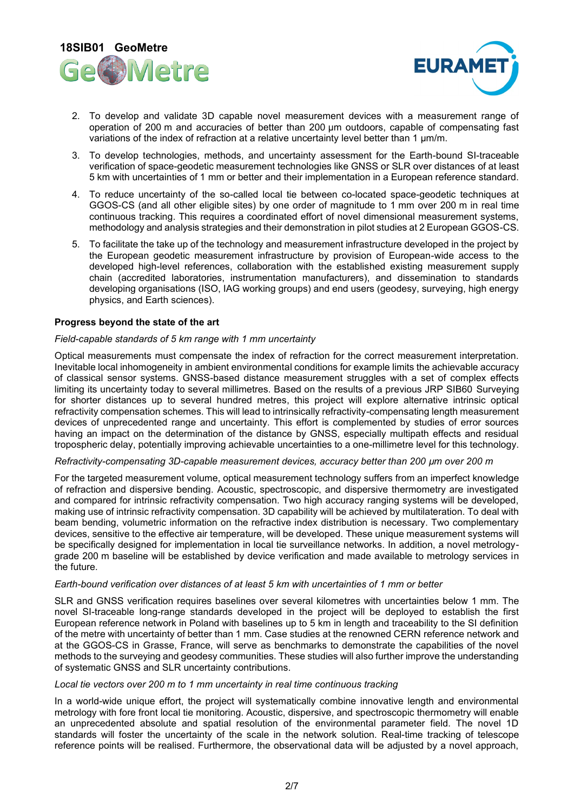



- 2. To develop and validate 3D capable novel measurement devices with a measurement range of operation of 200 m and accuracies of better than 200 μm outdoors, capable of compensating fast variations of the index of refraction at a relative uncertainty level better than 1 μm/m.
- 3. To develop technologies, methods, and uncertainty assessment for the Earth-bound SI-traceable verification of space-geodetic measurement technologies like GNSS or SLR over distances of at least 5 km with uncertainties of 1 mm or better and their implementation in a European reference standard.
- 4. To reduce uncertainty of the so-called local tie between co-located space-geodetic techniques at GGOS-CS (and all other eligible sites) by one order of magnitude to 1 mm over 200 m in real time continuous tracking. This requires a coordinated effort of novel dimensional measurement systems, methodology and analysis strategies and their demonstration in pilot studies at 2 European GGOS-CS.
- 5. To facilitate the take up of the technology and measurement infrastructure developed in the project by the European geodetic measurement infrastructure by provision of European-wide access to the developed high-level references, collaboration with the established existing measurement supply chain (accredited laboratories, instrumentation manufacturers), and dissemination to standards developing organisations (ISO, IAG working groups) and end users (geodesy, surveying, high energy physics, and Earth sciences).

#### **Progress beyond the state of the art**

## *Field-capable standards of 5 km range with 1 mm uncertainty*

Optical measurements must compensate the index of refraction for the correct measurement interpretation. Inevitable local inhomogeneity in ambient environmental conditions for example limits the achievable accuracy of classical sensor systems. GNSS-based distance measurement struggles with a set of complex effects limiting its uncertainty today to several millimetres. Based on the results of a previous JRP SIB60 Surveying for shorter distances up to several hundred metres, this project will explore alternative intrinsic optical refractivity compensation schemes. This will lead to intrinsically refractivity-compensating length measurement devices of unprecedented range and uncertainty. This effort is complemented by studies of error sources having an impact on the determination of the distance by GNSS, especially multipath effects and residual tropospheric delay, potentially improving achievable uncertainties to a one-millimetre level for this technology.

#### *Refractivity-compensating 3D-capable measurement devices, accuracy better than 200 µm over 200 m*

For the targeted measurement volume, optical measurement technology suffers from an imperfect knowledge of refraction and dispersive bending. Acoustic, spectroscopic, and dispersive thermometry are investigated and compared for intrinsic refractivity compensation. Two high accuracy ranging systems will be developed, making use of intrinsic refractivity compensation. 3D capability will be achieved by multilateration. To deal with beam bending, volumetric information on the refractive index distribution is necessary. Two complementary devices, sensitive to the effective air temperature, will be developed. These unique measurement systems will be specifically designed for implementation in local tie surveillance networks. In addition, a novel metrologygrade 200 m baseline will be established by device verification and made available to metrology services in the future.

#### *Earth-bound verification over distances of at least 5 km with uncertainties of 1 mm or better*

SLR and GNSS verification requires baselines over several kilometres with uncertainties below 1 mm. The novel SI-traceable long-range standards developed in the project will be deployed to establish the first European reference network in Poland with baselines up to 5 km in length and traceability to the SI definition of the metre with uncertainty of better than 1 mm. Case studies at the renowned CERN reference network and at the GGOS-CS in Grasse, France, will serve as benchmarks to demonstrate the capabilities of the novel methods to the surveying and geodesy communities. These studies will also further improve the understanding of systematic GNSS and SLR uncertainty contributions.

#### *Local tie vectors over 200 m to 1 mm uncertainty in real time continuous tracking*

In a world-wide unique effort, the project will systematically combine innovative length and environmental metrology with fore front local tie monitoring. Acoustic, dispersive, and spectroscopic thermometry will enable an unprecedented absolute and spatial resolution of the environmental parameter field. The novel 1D standards will foster the uncertainty of the scale in the network solution. Real-time tracking of telescope reference points will be realised. Furthermore, the observational data will be adjusted by a novel approach,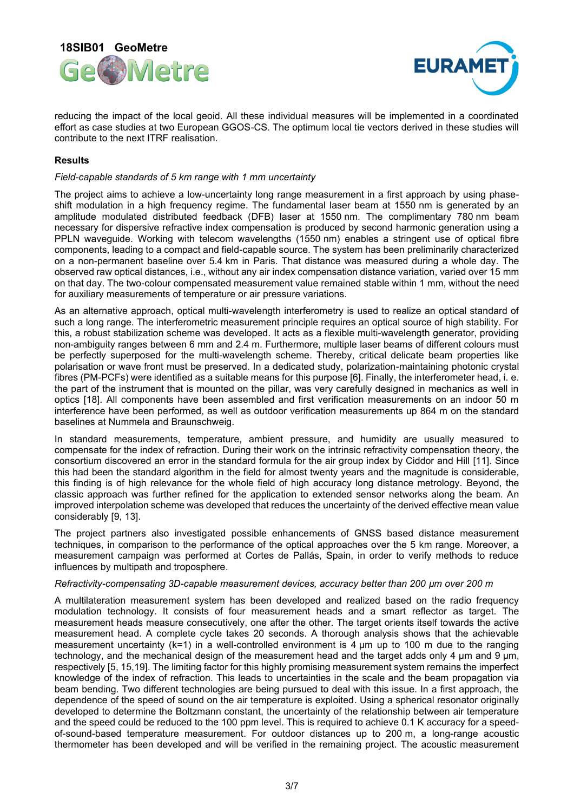



reducing the impact of the local geoid. All these individual measures will be implemented in a coordinated effort as case studies at two European GGOS-CS. The optimum local tie vectors derived in these studies will contribute to the next ITRF realisation.

## **Results**

#### *Field-capable standards of 5 km range with 1 mm uncertainty*

The project aims to achieve a low-uncertainty long range measurement in a first approach by using phaseshift modulation in a high frequency regime. The fundamental laser beam at 1550 nm is generated by an amplitude modulated distributed feedback (DFB) laser at 1550 nm. The complimentary 780 nm beam necessary for dispersive refractive index compensation is produced by second harmonic generation using a PPLN waveguide. Working with telecom wavelengths (1550 nm) enables a stringent use of optical fibre components, leading to a compact and field-capable source. The system has been preliminarily characterized on a non-permanent baseline over 5.4 km in Paris. That distance was measured during a whole day. The observed raw optical distances, i.e., without any air index compensation distance variation, varied over 15 mm on that day. The two-colour compensated measurement value remained stable within 1 mm, without the need for auxiliary measurements of temperature or air pressure variations.

As an alternative approach, optical multi-wavelength interferometry is used to realize an optical standard of such a long range. The interferometric measurement principle requires an optical source of high stability. For this, a robust stabilization scheme was developed. It acts as a flexible multi-wavelength generator, providing non-ambiguity ranges between 6 mm and 2.4 m. Furthermore, multiple laser beams of different colours must be perfectly superposed for the multi-wavelength scheme. Thereby, critical delicate beam properties like polarisation or wave front must be preserved. In a dedicated study, polarization-maintaining photonic crystal fibres (PM-PCFs) were identified as a suitable means for this purpose [6]. Finally, the interferometer head, i. e. the part of the instrument that is mounted on the pillar, was very carefully designed in mechanics as well in optics [18]. All components have been assembled and first verification measurements on an indoor 50 m interference have been performed, as well as outdoor verification measurements up 864 m on the standard baselines at Nummela and Braunschweig.

In standard measurements, temperature, ambient pressure, and humidity are usually measured to compensate for the index of refraction. During their work on the intrinsic refractivity compensation theory, the consortium discovered an error in the standard formula for the air group index by Ciddor and Hill [11]. Since this had been the standard algorithm in the field for almost twenty years and the magnitude is considerable, this finding is of high relevance for the whole field of high accuracy long distance metrology. Beyond, the classic approach was further refined for the application to extended sensor networks along the beam. An improved interpolation scheme was developed that reduces the uncertainty of the derived effective mean value considerably [9, 13].

The project partners also investigated possible enhancements of GNSS based distance measurement techniques, in comparison to the performance of the optical approaches over the 5 km range. Moreover, a measurement campaign was performed at Cortes de Pallás, Spain, in order to verify methods to reduce influences by multipath and troposphere.

#### *Refractivity-compensating 3D-capable measurement devices, accuracy better than 200 µm over 200 m*

A multilateration measurement system has been developed and realized based on the radio frequency modulation technology. It consists of four measurement heads and a smart reflector as target. The measurement heads measure consecutively, one after the other. The target orients itself towards the active measurement head. A complete cycle takes 20 seconds. A thorough analysis shows that the achievable measurement uncertainty  $(k=1)$  in a well-controlled environment is 4  $\mu$ m up to 100 m due to the ranging technology, and the mechanical design of the measurement head and the target adds only 4 µm and 9 µm, respectively [5, 15,19]. The limiting factor for this highly promising measurement system remains the imperfect knowledge of the index of refraction. This leads to uncertainties in the scale and the beam propagation via beam bending. Two different technologies are being pursued to deal with this issue. In a first approach, the dependence of the speed of sound on the air temperature is exploited. Using a spherical resonator originally developed to determine the Boltzmann constant, the uncertainty of the relationship between air temperature and the speed could be reduced to the 100 ppm level. This is required to achieve 0.1 K accuracy for a speedof-sound-based temperature measurement. For outdoor distances up to 200 m, a long-range acoustic thermometer has been developed and will be verified in the remaining project. The acoustic measurement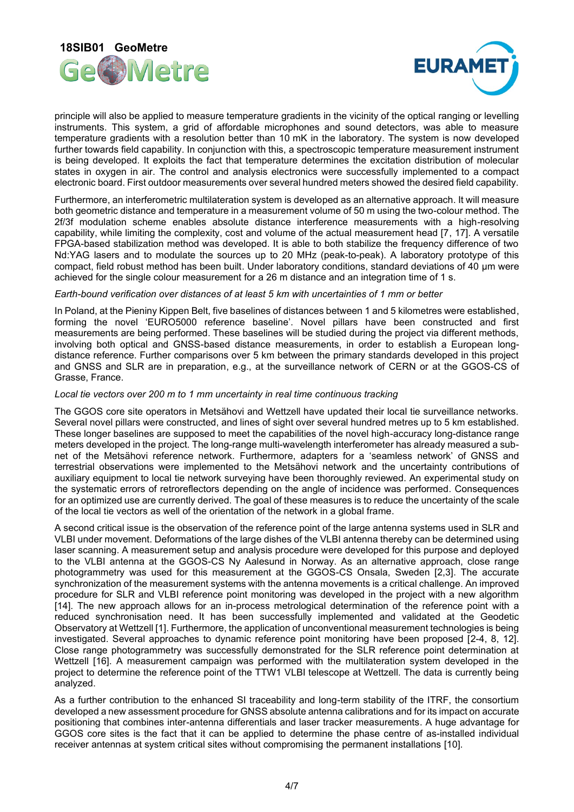



principle will also be applied to measure temperature gradients in the vicinity of the optical ranging or levelling instruments. This system, a grid of affordable microphones and sound detectors, was able to measure temperature gradients with a resolution better than 10 mK in the laboratory. The system is now developed further towards field capability. In conjunction with this, a spectroscopic temperature measurement instrument is being developed. It exploits the fact that temperature determines the excitation distribution of molecular states in oxygen in air. The control and analysis electronics were successfully implemented to a compact electronic board. First outdoor measurements over several hundred meters showed the desired field capability.

Furthermore, an interferometric multilateration system is developed as an alternative approach. It will measure both geometric distance and temperature in a measurement volume of 50 m using the two-colour method. The 2f/3f modulation scheme enables absolute distance interference measurements with a high-resolving capability, while limiting the complexity, cost and volume of the actual measurement head [7, 17]. A versatile FPGA-based stabilization method was developed. It is able to both stabilize the frequency difference of two Nd:YAG lasers and to modulate the sources up to 20 MHz (peak-to-peak). A laboratory prototype of this compact, field robust method has been built. Under laboratory conditions, standard deviations of 40 µm were achieved for the single colour measurement for a 26 m distance and an integration time of 1 s.

#### *Earth-bound verification over distances of at least 5 km with uncertainties of 1 mm or better*

In Poland, at the Pieniny Kippen Belt, five baselines of distances between 1 and 5 kilometres were established, forming the novel 'EURO5000 reference baseline'. Novel pillars have been constructed and first measurements are being performed. These baselines will be studied during the project via different methods, involving both optical and GNSS-based distance measurements, in order to establish a European longdistance reference. Further comparisons over 5 km between the primary standards developed in this project and GNSS and SLR are in preparation, e.g., at the surveillance network of CERN or at the GGOS-CS of Grasse, France.

#### *Local tie vectors over 200 m to 1 mm uncertainty in real time continuous tracking*

The GGOS core site operators in Metsähovi and Wettzell have updated their local tie surveillance networks. Several novel pillars were constructed, and lines of sight over several hundred metres up to 5 km established. These longer baselines are supposed to meet the capabilities of the novel high-accuracy long-distance range meters developed in the project. The long-range multi-wavelength interferometer has already measured a subnet of the Metsähovi reference network. Furthermore, adapters for a 'seamless network' of GNSS and terrestrial observations were implemented to the Metsähovi network and the uncertainty contributions of auxiliary equipment to local tie network surveying have been thoroughly reviewed. An experimental study on the systematic errors of retroreflectors depending on the angle of incidence was performed. Consequences for an optimized use are currently derived. The goal of these measures is to reduce the uncertainty of the scale of the local tie vectors as well of the orientation of the network in a global frame.

A second critical issue is the observation of the reference point of the large antenna systems used in SLR and VLBI under movement. Deformations of the large dishes of the VLBI antenna thereby can be determined using laser scanning. A measurement setup and analysis procedure were developed for this purpose and deployed to the VLBI antenna at the GGOS-CS Ny Aalesund in Norway. As an alternative approach, close range photogrammetry was used for this measurement at the GGOS-CS Onsala, Sweden [2,3]. The accurate synchronization of the measurement systems with the antenna movements is a critical challenge. An improved procedure for SLR and VLBI reference point monitoring was developed in the project with a new algorithm [14]. The new approach allows for an in-process metrological determination of the reference point with a reduced synchronisation need. It has been successfully implemented and validated at the Geodetic Observatory at Wettzell [1]. Furthermore, the application of unconventional measurement technologies is being investigated. Several approaches to dynamic reference point monitoring have been proposed [2-4, 8, 12]. Close range photogrammetry was successfully demonstrated for the SLR reference point determination at Wettzell [16]. A measurement campaign was performed with the multilateration system developed in the project to determine the reference point of the TTW1 VLBI telescope at Wettzell. The data is currently being analyzed.

As a further contribution to the enhanced SI traceability and long-term stability of the ITRF, the consortium developed a new assessment procedure for GNSS absolute antenna calibrations and for its impact on accurate positioning that combines inter-antenna differentials and laser tracker measurements. A huge advantage for GGOS core sites is the fact that it can be applied to determine the phase centre of as-installed individual receiver antennas at system critical sites without compromising the permanent installations [10].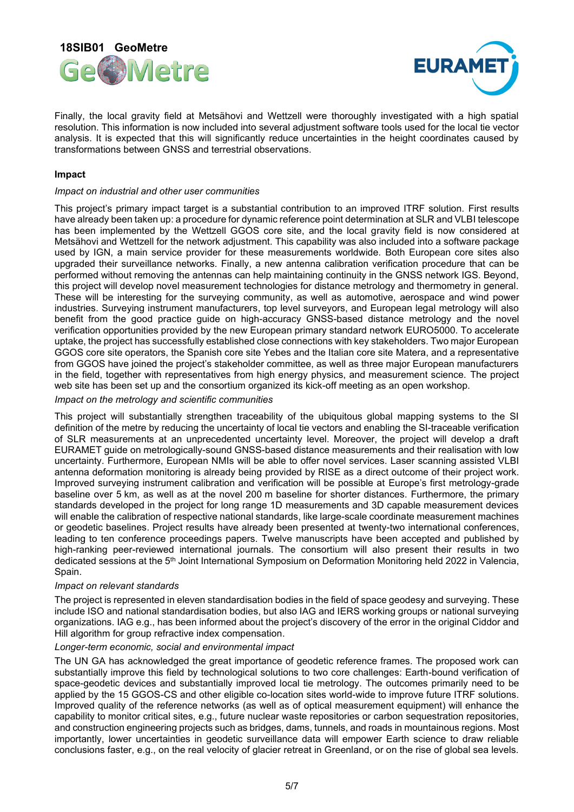



Finally, the local gravity field at Metsähovi and Wettzell were thoroughly investigated with a high spatial resolution. This information is now included into several adjustment software tools used for the local tie vector analysis. It is expected that this will significantly reduce uncertainties in the height coordinates caused by transformations between GNSS and terrestrial observations.

### **Impact**

#### *Impact on industrial and other user communities*

This project's primary impact target is a substantial contribution to an improved ITRF solution. First results have already been taken up: a procedure for dynamic reference point determination at SLR and VLBI telescope has been implemented by the Wettzell GGOS core site, and the local gravity field is now considered at Metsähovi and Wettzell for the network adjustment. This capability was also included into a software package used by IGN, a main service provider for these measurements worldwide. Both European core sites also upgraded their surveillance networks. Finally, a new antenna calibration verification procedure that can be performed without removing the antennas can help maintaining continuity in the GNSS network IGS. Beyond, this project will develop novel measurement technologies for distance metrology and thermometry in general. These will be interesting for the surveying community, as well as automotive, aerospace and wind power industries. Surveying instrument manufacturers, top level surveyors, and European legal metrology will also benefit from the good practice guide on high-accuracy GNSS-based distance metrology and the novel verification opportunities provided by the new European primary standard network EURO5000. To accelerate uptake, the project has successfully established close connections with key stakeholders. Two major European GGOS core site operators, the Spanish core site Yebes and the Italian core site Matera, and a representative from GGOS have joined the project's stakeholder committee, as well as three major European manufacturers in the field, together with representatives from high energy physics, and measurement science. The project web site has been set up and the consortium organized its kick-off meeting as an open workshop.

#### *Impact on the metrology and scientific communities*

This project will substantially strengthen traceability of the ubiquitous global mapping systems to the SI definition of the metre by reducing the uncertainty of local tie vectors and enabling the SI-traceable verification of SLR measurements at an unprecedented uncertainty level. Moreover, the project will develop a draft EURAMET guide on metrologically-sound GNSS-based distance measurements and their realisation with low uncertainty. Furthermore, European NMIs will be able to offer novel services. Laser scanning assisted VLBI antenna deformation monitoring is already being provided by RISE as a direct outcome of their project work. Improved surveying instrument calibration and verification will be possible at Europe's first metrology-grade baseline over 5 km, as well as at the novel 200 m baseline for shorter distances. Furthermore, the primary standards developed in the project for long range 1D measurements and 3D capable measurement devices will enable the calibration of respective national standards, like large-scale coordinate measurement machines or geodetic baselines. Project results have already been presented at twenty-two international conferences, leading to ten conference proceedings papers. Twelve manuscripts have been accepted and published by high-ranking peer-reviewed international journals. The consortium will also present their results in two dedicated sessions at the 5<sup>th</sup> Joint International Symposium on Deformation Monitoring held 2022 in Valencia, Spain.

#### *Impact on relevant standards*

The project is represented in eleven standardisation bodies in the field of space geodesy and surveying. These include ISO and national standardisation bodies, but also IAG and IERS working groups or national surveying organizations. IAG e.g., has been informed about the project's discovery of the error in the original Ciddor and Hill algorithm for group refractive index compensation.

#### *Longer-term economic, social and environmental impact*

The UN GA has acknowledged the great importance of geodetic reference frames. The proposed work can substantially improve this field by technological solutions to two core challenges: Earth-bound verification of space-geodetic devices and substantially improved local tie metrology. The outcomes primarily need to be applied by the 15 GGOS-CS and other eligible co-location sites world-wide to improve future ITRF solutions. Improved quality of the reference networks (as well as of optical measurement equipment) will enhance the capability to monitor critical sites, e.g., future nuclear waste repositories or carbon sequestration repositories, and construction engineering projects such as bridges, dams, tunnels, and roads in mountainous regions. Most importantly, lower uncertainties in geodetic surveillance data will empower Earth science to draw reliable conclusions faster, e.g., on the real velocity of glacier retreat in Greenland, or on the rise of global sea levels.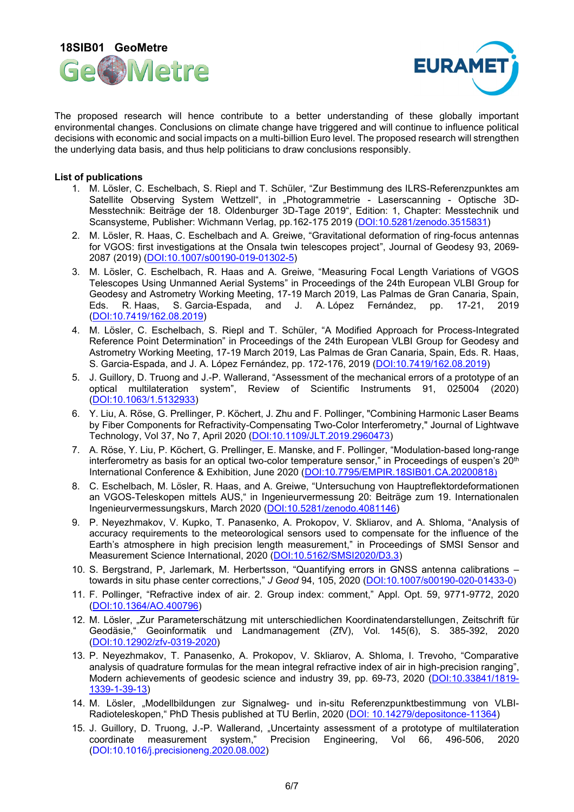



The proposed research will hence contribute to a better understanding of these globally important environmental changes. Conclusions on climate change have triggered and will continue to influence political decisions with economic and social impacts on a multi-billion Euro level. The proposed research will strengthen the underlying data basis, and thus help politicians to draw conclusions responsibly.

### **List of publications**

- 1. M. Lösler, C. Eschelbach, S. Riepl and T. Schüler, "Zur Bestimmung des ILRS-Referenzpunktes am Satellite Observing System Wettzell", in "Photogrammetrie - Laserscanning - Optische 3D-Messtechnik: Beiträge der 18. Oldenburger 3D-Tage 2019", Edition: 1, Chapter: Messtechnik und Scansysteme, Publisher: Wichmann Verlag, pp.162-175 2019 [\(DOI:10.5281/zenodo.3515831\)](http://?)
- 2. M. Lösler, R. Haas, C. Eschelbach and A. Greiwe, "Gravitational deformation of ring-focus antennas for VGOS: first investigations at the Onsala twin telescopes project", Journal of Geodesy 93, 2069- 2087 (2019) [\(DOI:10.1007/s00190-019-01302-5\)](http://?)
- 3. M. Lösler, C. Eschelbach, R. Haas and A. Greiwe, "Measuring Focal Length Variations of VGOS Telescopes Using Unmanned Aerial Systems" in Proceedings of the 24th European VLBI Group for Geodesy and Astrometry Working Meeting, 17-19 March 2019, Las Palmas de Gran Canaria, Spain, Eds. R. Haas, S. Garcia-Espada, and J. A. López Fernández, pp. 17-21, 2019 [\(DOI:10.7419/162.08.2019\)](http://?)
- 4. M. Lösler, C. Eschelbach, S. Riepl and T. Schüler, "A Modified Approach for Process-Integrated Reference Point Determination" in Proceedings of the 24th European VLBI Group for Geodesy and Astrometry Working Meeting, 17-19 March 2019, Las Palmas de Gran Canaria, Spain, Eds. R. Haas, S. Garcia-Espada, and J. A. López Fernández, pp. 172-176, 2019 [\(DOI:10.7419/162.08.2019\)](http://?)
- 5. J. Guillory, D. Truong and J.-P. Wallerand, "Assessment of the mechanical errors of a prototype of an optical multilateration system", Review of Scientific Instruments 91, 025004 (2020) [\(DOI:10.1063/1.5132933\)](http://?)
- 6. Y. Liu, A. Röse, G. Prellinger, P. Köchert, J. Zhu and F. Pollinger, "Combining Harmonic Laser Beams by Fiber Components for Refractivity-Compensating Two-Color Interferometry," Journal of Lightwave Technology, Vol 37, No 7, April 2020 [\(DOI:10.1109/JLT.2019.2960473\)](http://?)
- 7. A. Röse, Y. Liu, P. Köchert, G. Prellinger, E. Manske, and F. Pollinger, "Modulation-based long-range interferometry as basis for an optical two-color temperature sensor," in Proceedings of euspen's 20<sup>th</sup> International Conference & Exhibition, June 2020 [\(DOI:10.7795/EMPIR.18SIB01.CA.20200818](http://?))
- 8. C. Eschelbach, M. Lösler, R. Haas, and A. Greiwe, "Untersuchung von Hauptreflektordeformationen an VGOS-Teleskopen mittels AUS," in Ingenieurvermessung 20: Beiträge zum 19. Internationalen Ingenieurvermessungskurs, March 2020 [\(DOI:10.5281/zenodo.4081146\)](http://?)
- 9. P. Neyezhmakov, V. Kupko, T. Panasenko, A. Prokopov, V. Skliarov, and A. Shloma, "Analysis of accuracy requirements to the meteorological sensors used to compensate for the influence of the Earth's atmosphere in high precision length measurement," in Proceedings of SMSI Sensor and Measurement Science International, 2020 [\(DOI:10.5162/SMSI2020/D3.3\)](http://?)
- 10. S. Bergstrand, P, Jarlemark, M. Herbertsson, "Quantifying errors in GNSS antenna calibrations towards in situ phase center corrections," *J Geod* 94, 105, 2020 [\(DOI:10.1007/s00190-020-01433-0](http://?))
- 11. F. Pollinger, "Refractive index of air. 2. Group index: comment," Appl. Opt. 59, 9771-9772, 2020 [\(DOI:10.1364/AO.400796\)](http://?)
- 12. M. Lösler, "Zur Parameterschätzung mit unterschiedlichen Koordinatendarstellungen, Zeitschrift für Geodäsie," Geoinformatik und Landmanagement (ZfV), Vol. 145(6), S. 385-392, 2020 [\(DOI:10.12902/zfv-0319-2020\)](http://?)
- 13. P. Neyezhmakov, T. Panasenko, A. Prokopov, V. Skliarov, A. Shloma, I. Trevoho, "Comparative analysis of quadrature formulas for the mean integral refractive index of air in high-precision ranging", Modern achievements of geodesic science and industry 39, pp. 69-73, 2020 [\(DOI:10.33841/1819-](http://?) [1339-1-39-13\)](http://?)
- 14. M. Lösler, "Modellbildungen zur Signalweg- und in-situ Referenzpunktbestimmung von VLBI-Radioteleskopen," PhD Thesis published at TU Berlin, 2020 (DOI: [10.14279/depositonce-11364\)](http://?)
- 15. J. Guillory, D. Truong, J.-P. Wallerand, "Uncertainty assessment of a prototype of multilateration coordinate measurement system," Precision Engineering, Vol 66, 496-506, 2020 [\(DOI:10.1016/j.precisioneng.2020.08.002\)](http://?)